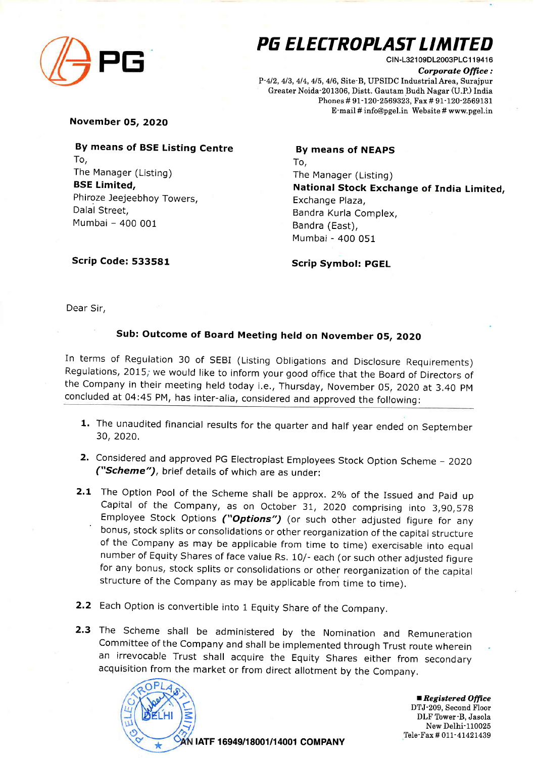

## PG ELECTROPLAST LIMITED

CIN-L32109DL2003PLC119416 Corporate Office: P-4/2, 4/3, 4/4, 4/5, 4/6, Site-B, UPSIDC Industrial Area, Surajpur Greater Noida-2O1306, Distt. Gautam Budh Nagar (U.P.) India Phones # 9I-120-2569323, Fax # 91-120-2569131 E-mail # info@pgel.in Website # www.pgel.in

November 05, ZO2O

By means of BSE Listing Centre To, The Manager (Listing) BSE Limited, Phiroze Jeejeebhoy Towers, Dalal Street, Mumbai - 400 <sup>001</sup>

## By means of NEAPS To, The Manager (Listing) National Stock Exchange of India Limited, Exchange Plaza, Bandra Kurla Complex, Bandra (East), Mumbai - 400 051

Scrip Code: 533581

Scrip Symbol: PGEL

Dear Sir,

## Sub: Outcome of Board Meeting held on November 05, 2O2O

In terms of Regulation 30 of SEBI (Listing Obligations and Disclosure Requirements) Regulations, 2015; we would like to inform your good office that the Board of Directors of the Company in their meeting held today i.e,, Thursday, November 05, 2O2O at 3.40 pM concluded at 04:45 PM, has inter-alia, considered and approved the following:

- 1. The unaudited financial results for the quarter and half year ended on September 30,2020.
- 2. Considered and approved PG Electroplast Employees Stock Option Scheme 2020 ("Scheme"), brief details of which are as under:
- 2.1 The Option Pool of the Scheme shall be approx. 2% of the Issued and Paid up capital of the company, as on october 31, 2o2o comprising into 3,90,578 - Employee Stock Options ("Options") (or such other adjusted figure for any bonus, stock splits or consolidations or other reorganization of the capital structure of the Company as may be applicable from time to time) exercisable into equal number of Equity Shares of face value Rs, 1O/- each (or such other adjusted figure for any bonus, stock splits or consolidations or other reorganization of the capital structure of the company as may be applicable from time to time).
- 2.2 Each Option is convertible into 1 Equity Share of the Company.

2.3 The Scheme shall be administered by the Nomination and Remuneration Committee of the Company and shall be implemented through Trust route wherein an irrevocable Trust shall acquire the Equity Shares either from secondary acquisition from the market or from direct allotment by the company,



 $\blacksquare$  Registered Office DTJ-209, Second Floor DLF Tower-B, Jasola New Delhi-110025 Tele-Fax # 011-41421439

|ATF 16949/18001/14001 COMPANY